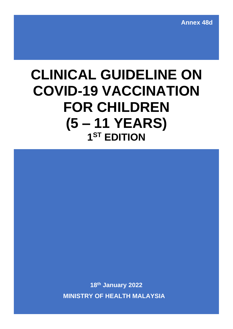**Annex 48d**

# **CLINICAL GUIDELINE ON COVID-19 VACCINATION FOR CHILDREN (5 – 11 YEARS) 1 ST EDITION**

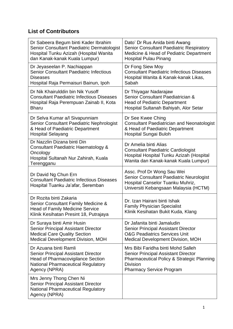# **List of Contributors**

| Dr Sabeera Begum binti Kader Ibrahim                                                                                                               | Dato' Dr Rus Anida binti Awang                                                                                                                         |
|----------------------------------------------------------------------------------------------------------------------------------------------------|--------------------------------------------------------------------------------------------------------------------------------------------------------|
| Senior Consultant Paediatric Dermatologist                                                                                                         | <b>Senior Consultant Paediatric Respiratory</b>                                                                                                        |
| Hospital Tunku Azizah (Hospital Wanita                                                                                                             | Medicine & Head of Pediatric Department                                                                                                                |
| dan Kanak-kanak Kuala Lumpur)                                                                                                                      | <b>Hospital Pulau Pinang</b>                                                                                                                           |
| Dr Jeyaseelan P. Nachiappan                                                                                                                        | Dr Fong Siew Moy                                                                                                                                       |
| <b>Senior Consultant Paediatric Infectious</b>                                                                                                     | <b>Consultant Paediatric Infectious Diseases</b>                                                                                                       |
| <b>Diseases</b>                                                                                                                                    | Hospital Wanita & Kanak-kanak Likas,                                                                                                                   |
| Hospital Raja Permaisuri Bainun, Ipoh                                                                                                              | Sabah                                                                                                                                                  |
| Dr Nik Khairulddin bin Nik Yusoff                                                                                                                  | Dr Thiyagar Nadarajaw                                                                                                                                  |
| <b>Consultant Paediatric Infectious Diseases</b>                                                                                                   | Senior Consultant Paediatrician &                                                                                                                      |
| Hospital Raja Perempuan Zainab II, Kota                                                                                                            | <b>Head of Pediatric Department</b>                                                                                                                    |
| <b>Bharu</b>                                                                                                                                       | Hospital Sultanah Bahiyah, Alor Setar                                                                                                                  |
| Dr Selva Kumar a/l Sivapunniam                                                                                                                     | Dr See Kwee Ching                                                                                                                                      |
| Senior Consultant Paediatric Nephrologist                                                                                                          | <b>Consultant Paediatrician and Neonatologist</b>                                                                                                      |
| & Head of Paediatric Department                                                                                                                    | & Head of Paediatric Department                                                                                                                        |
| <b>Hospital Selayang</b>                                                                                                                           | Hospital Sungai Buloh                                                                                                                                  |
| Dr Nazzlin Dizana binti Din<br>Consultant Paediatric Haematology &<br>Oncology<br>Hospital Sultanah Nur Zahirah, Kuala<br>Terengganu               | Dr Amelia binti Alias<br><b>Consultant Paediatric Cardiologist</b><br>Hospital Hospital Tunku Azizah (Hospital<br>Wanita dan Kanak-kanak Kuala Lumpur) |
| Dr David Ng Chun Ern<br><b>Consultant Paediatric Infectious Diseases</b><br>Hospital Tuanku Ja'afar, Seremban                                      | Assc. Prof Dr Wong Sau Wei<br>Senior Consultant Paediatric Neurologist<br>Hospital Canselor Tuanku Muhriz,<br>Universiti Kebangsaan Malaysia (HCTM)    |
| Dr Rozita binti Zakaria<br>Senior Consultant Family Medicine &<br><b>Head of Family Medicine Service</b><br>Klinik Kesihatan Presint 18, Putrajaya | Dr. Izan Hairani binti Ishak<br><b>Family Physician Specialist</b><br>Klinik Kesihatan Bukit Kuda, Klang                                               |
| Dr Suraya binti Amir Husin                                                                                                                         | Dr Jafanita binti Jamaludin                                                                                                                            |
| <b>Senior Principal Assistant Director</b>                                                                                                         | <b>Senior Principal Assistant Director</b>                                                                                                             |
| <b>Medical Care Quality Section</b>                                                                                                                | <b>O&amp;G Peadiatrics Services Unit</b>                                                                                                               |
| Medical Development Division, MOH                                                                                                                  | <b>Medical Development Division, MOH</b>                                                                                                               |
| Dr Azuana binti Ramli                                                                                                                              | Mrs Bibi Faridha binti Mohd Salleh                                                                                                                     |
| <b>Senior Principal Assistant Director</b>                                                                                                         | <b>Senior Principal Assistant Director</b>                                                                                                             |
| <b>Head of Pharmacovigilance Section</b>                                                                                                           | <b>Pharmaceutical Policy &amp; Strategic Planning</b>                                                                                                  |
| <b>National Pharmaceutical Regulatory</b>                                                                                                          | <b>Division</b>                                                                                                                                        |
| Agency (NPRA)                                                                                                                                      | <b>Pharmacy Service Program</b>                                                                                                                        |
| Mrs Jenny Thong Chen Ni<br><b>Senior Principal Assistant Director</b><br><b>National Pharmaceutical Regulatory</b><br>Agency (NPRA)                |                                                                                                                                                        |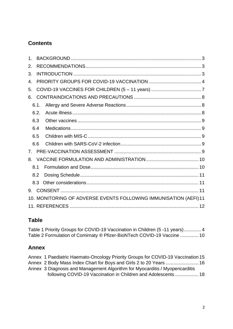# **Contents**

| 1.           |      |                                                                   |  |
|--------------|------|-------------------------------------------------------------------|--|
| 2.           |      |                                                                   |  |
| 3.           |      |                                                                   |  |
| $\mathbf{4}$ |      |                                                                   |  |
| 5.           |      |                                                                   |  |
| 6.           |      |                                                                   |  |
|              | 6.1. |                                                                   |  |
|              | 6.2. |                                                                   |  |
|              | 6.3  |                                                                   |  |
|              | 6.4  |                                                                   |  |
|              | 6.5  |                                                                   |  |
|              | 6.6  |                                                                   |  |
| $7_{-}$      |      |                                                                   |  |
| 8.           |      |                                                                   |  |
|              | 8.1  |                                                                   |  |
|              | 8.2  |                                                                   |  |
|              | 8.3  |                                                                   |  |
| 9.           |      |                                                                   |  |
|              |      | 10. MONITORING OF ADVERSE EVENTS FOLLOWING IMMUNISATION (AEFI) 11 |  |
|              |      |                                                                   |  |

## **Table**

[Table 1 Priority Groups for COVID-19 Vaccination in Children \(5 -11 years\).............](#page-4-1) 4 [Table 2 Formulation of Comirnaty ® Pfizer-BioNTech COVID-19 Vaccine](#page-10-2) .............. 10

## **Annex**

| Annex 1 Paediatric Haemato-Oncology Priority Groups for COVID-19 Vaccination 15 |  |
|---------------------------------------------------------------------------------|--|
| Annex 2 Body Mass Index Chart for Boys and Girls 2 to 20 Years  16              |  |
| Annex 3 Diagnosis and Management Algorithm for Myocarditis / Myopericarditis    |  |
| following COVID-19 Vaccination in Children and Adolescents 18                   |  |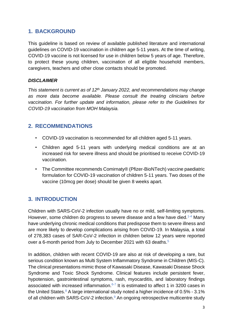## <span id="page-3-0"></span>**1. BACKGROUND**

This guideline is based on review of available published literature and international guidelines on COVID-19 vaccination in children age 5-11 years. At the time of writing, COVID-19 vaccine is not licensed for use in children below 5 years of age. Therefore, to protect these young children, vaccination of all eligible household members, caregivers, teachers and other close contacts should be promoted.

#### *DISCLAIMER*

*This statement is current as of 12th January 2022, and recommendations may change as more data become available. Please consult the treating clinicians before vaccination. For further update and information, please refer to the Guidelines for COVID-19 vaccination from MOH Malaysia.* 

## <span id="page-3-1"></span>**2. RECOMMENDATIONS**

- COVID-19 vaccination is recommended for all children aged 5-11 years.
- Children aged 5-11 years with underlying medical conditions are at an increased risk for severe illness and should be prioritised to receive COVID-19 vaccination.
- The Committee recommends Comirnaty® (Pfizer-BioNTech) vaccine paediatric formulation for COVID-19 vaccination of children 5-11 years. Two doses of the vaccine (10mcg per dose) should be given 8 weeks apart.

## <span id="page-3-2"></span>**3. INTRODUCTION**

Children with SARS-CoV-2 infection usually have no or mild, self-limiting symptoms. However, some children do progress to severe disease and a few have died.<sup>1-4</sup> Many have underlying chronic medical conditions that predispose them to severe illness and are more likely to develop complications arising from COVID-19. In Malaysia, a total of 278,383 cases of SAR-CoV-2 infection in children below 12 years were reported over a 6-month period from July to December 2021 with 63 deaths.<sup>5</sup>

In addition, children with recent COVID-19 are also at risk of developing a rare, but serious condition known as Multi System Inflammatory Syndrome in Children (MIS-C). The clinical presentations mimic those of Kawasaki Disease, Kawasaki Disease Shock Syndrome and Toxic Shock Syndrome. Clinical features include persistent fever, hypotension, gastrointestinal symptoms, rash, myocarditis, and laboratory findings associated with increased inflammation.<sup>6-7</sup> It is estimated to affect 1 in 3200 cases in the United States.<sup>8</sup> A large international study noted a higher incidence of  $0.5\%$  - 3.1% of all children with SARS-CoV-2 infection.<sup>9</sup> An ongoing retrospective multicentre study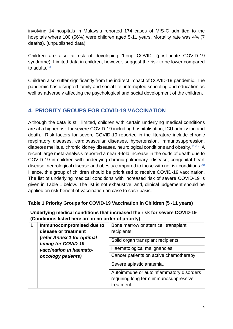involving 14 hospitals in Malaysia reported 174 cases of MIS-C admitted to the hospitals where 100 (56%) were children aged 5-11 years. Mortality rate was 4% (7 deaths). (unpublished data)

Children are also at risk of developing "Long COVID" (post-acute COVID-19 syndrome). Limited data in children, however, suggest the risk to be lower compared to adults.<sup>10</sup>

Children also suffer significantly from the indirect impact of COVID-19 pandemic. The pandemic has disrupted family and social life, interrupted schooling and education as well as adversely affecting the psychological and social development of the children.

# <span id="page-4-0"></span>**4. PRIORITY GROUPS FOR COVID-19 VACCINATION**

Although the data is still limited, children with certain underlying medical conditions are at a higher risk for severe COVID-19 including hospitalisation, ICU admission and death. Risk factors for severe COVID-19 reported in the literature include chronic respiratory diseases, cardiovascular diseases, hypertension, immunosuppression, diabetes mellitus, chronic kidney diseases, neurological conditions and obesity.<sup>11-19</sup> A recent large meta-analysis reported a near 9-fold increase in the odds of death due to COVID-19 in children with underlying chronic pulmonary disease, congenital heart disease, neurological disease and obesity compared to those with no risk conditions.<sup>20</sup> Hence, this group of children should be prioritised to receive COVID-19 vaccination. The list of underlying medical conditions with increased risk of severe COVID-19 is given in Table 1 below. The list is not exhaustive, and, clinical judgement should be applied on risk-benefit of vaccination on case to case basis.

| (Conditions listed here are in no order of priority)                                                                       |                          |                                          |
|----------------------------------------------------------------------------------------------------------------------------|--------------------------|------------------------------------------|
|                                                                                                                            | Immunocompromised due to | Bone marrow or stem cell transplant      |
| disease or treatment<br>(refer Annex 1 for optimal<br>timing for COVID-19<br>vaccination in haemato-<br>oncology patients) |                          | recipients.                              |
|                                                                                                                            |                          | Solid organ transplant recipients.       |
|                                                                                                                            |                          | Haematological malignancies.             |
|                                                                                                                            |                          | Cancer patients on active chemotherapy.  |
|                                                                                                                            |                          | Severe aplastic anaemia.                 |
|                                                                                                                            |                          | Autoimmune or autoinflammatory disorders |
|                                                                                                                            |                          | requiring long term immunosuppressive    |
|                                                                                                                            |                          | treatment.                               |

#### <span id="page-4-1"></span>**Table 1 Priority Groups for COVID-19 Vaccination in Children (5 -11 years)**

**Underlying medical conditions that increased the risk for severe COVID-19**

4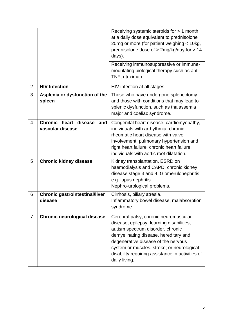|                |                                                            | Receiving systemic steroids for > 1 month<br>at a daily dose equivalent to prednisolone<br>20mg or more (for patient weighing < 10kg,<br>prednisolone dose of $>$ 2mg/kg/day for $\geq$ 14<br>days).                                                                                                                       |  |
|----------------|------------------------------------------------------------|----------------------------------------------------------------------------------------------------------------------------------------------------------------------------------------------------------------------------------------------------------------------------------------------------------------------------|--|
|                |                                                            | Receiving immunosuppressive or immune-<br>modulating biological therapy such as anti-<br>TNF, rituximab.                                                                                                                                                                                                                   |  |
| $\overline{2}$ | <b>HIV Infection</b>                                       | HIV infection at all stages.                                                                                                                                                                                                                                                                                               |  |
| 3              | Asplenia or dysfunction of the<br>spleen                   | Those who have undergone splenectomy<br>and those with conditions that may lead to<br>splenic dysfunction, such as thalassemia<br>major and coeliac syndrome.                                                                                                                                                              |  |
| $\overline{4}$ | <b>Chronic</b><br>heart disease<br>and<br>vascular disease | Congenital heart disease, cardiomyopathy,<br>individuals with arrhythmia, chronic<br>rheumatic heart disease with valve<br>involvement, pulmonary hypertension and<br>right heart failure, chronic heart failure,<br>individuals with aortic root dilatation.                                                              |  |
| 5              | <b>Chronic kidney disease</b>                              | Kidney transplantation, ESRD on<br>haemodialysis and CAPD, chronic kidney<br>disease stage 3 and 4. Glomerulonephritis<br>e.g. lupus nephritis.<br>Nephro-urological problems.                                                                                                                                             |  |
| 6              | <b>Chronic gastrointestinal/liver</b><br>disease           | Cirrhosis, biliary atresia.<br>Inflammatory bowel disease, malabsorption<br>syndrome.                                                                                                                                                                                                                                      |  |
| $\overline{7}$ | <b>Chronic neurological disease</b>                        | Cerebral palsy, chronic neuromuscular<br>disease, epilepsy, learning disabilities,<br>autism spectrum disorder, chronic<br>demyelinating disease, hereditary and<br>degenerative disease of the nervous<br>system or muscles, stroke; or neurological<br>disability requiring assistance in activities of<br>daily living. |  |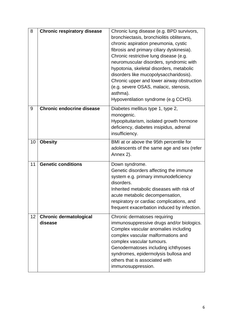| 8  | <b>Chronic respiratory disease</b>       | Chronic lung disease (e.g. BPD survivors,<br>bronchiectasis, bronchiolitis obliterans,<br>chronic aspiration pneumonia, cystic<br>fibrosis and primary ciliary dyskinesia).<br>Chronic restrictive lung disease (e.g.<br>neuromuscular disorders, syndromic with<br>hypotonia, skeletal disorders, metabolic<br>disorders like mucopolysaccharidosis).<br>Chronic upper and lower airway obstruction<br>(e.g. severe OSAS, malacic, stenosis,<br>asthma).<br>Hypoventilation syndrome (e.g CCHS). |  |
|----|------------------------------------------|---------------------------------------------------------------------------------------------------------------------------------------------------------------------------------------------------------------------------------------------------------------------------------------------------------------------------------------------------------------------------------------------------------------------------------------------------------------------------------------------------|--|
| 9  | <b>Chronic endocrine disease</b>         | Diabetes mellitus type 1, type 2,<br>monogenic.<br>Hypopituitarism, isolated growth hormone<br>deficiency, diabetes insipidus, adrenal<br>insufficiency.                                                                                                                                                                                                                                                                                                                                          |  |
| 10 | <b>Obesity</b>                           | BMI at or above the 95th percentile for<br>adolescents of the same age and sex (refer<br>Annex 2).                                                                                                                                                                                                                                                                                                                                                                                                |  |
| 11 | <b>Genetic conditions</b>                | Down syndrome.<br>Genetic disorders affecting the immune<br>system e.g. primary immunodeficiency<br>disorders.<br>Inherited metabolic diseases with risk of<br>acute metabolic decompensation,<br>respiratory or cardiac complications, and<br>frequent exacerbation induced by infection.                                                                                                                                                                                                        |  |
| 12 | <b>Chronic dermatological</b><br>disease | Chronic dermatoses requiring<br>immunosuppressive drugs and/or biologics.<br>Complex vascular anomalies including<br>complex vascular malformations and<br>complex vascular tumours.<br>Genodermatoses including ichthyoses<br>syndromes, epidermolysis bullosa and<br>others that is associated with<br>immunosuppression.                                                                                                                                                                       |  |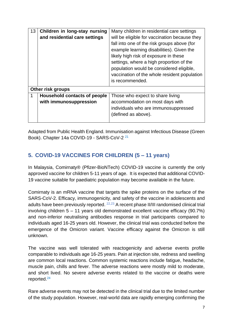| 13 | Children in long-stay nursing<br>and residential care settings | Many children in residential care settings<br>will be eligible for vaccination because they<br>fall into one of the risk groups above (for<br>example learning disabilities). Given the<br>likely high risk of exposure in these<br>settings, where a high proportion of the<br>population would be considered eligible,<br>vaccination of the whole resident population<br>is recommended. |
|----|----------------------------------------------------------------|---------------------------------------------------------------------------------------------------------------------------------------------------------------------------------------------------------------------------------------------------------------------------------------------------------------------------------------------------------------------------------------------|
|    | Other risk groups                                              |                                                                                                                                                                                                                                                                                                                                                                                             |
|    | Household contacts of people<br>with immunosuppression         | Those who expect to share living<br>accommodation on most days with<br>individuals who are immunosuppressed<br>(defined as above).                                                                                                                                                                                                                                                          |

Adapted from Public Health England. Immunisation against Infectious Disease (Green Book). Chapter 14a COVID-19 - SARS-CoV-2<sup>21</sup>

# <span id="page-7-0"></span>**5. COVID-19 VACCINES FOR CHILDREN (5 – 11 years)**

In Malaysia, Comirnaty® (Pfizer-BioNTech) COVID-19 vaccine is currently the only approved vaccine for children 5-11 years of age. It is expected that additional COVID-19 vaccine suitable for paediatric population may become available in the future.

Comirnaty is an mRNA vaccine that targets the spike proteins on the surface of the SARS-CoV-2. Efficacy, immunogenicity, and safety of the vaccine in adolescents and adults have been previously reported. <sup>22,23</sup> A recent phase II/III randomised clinical trial involving children 5 – 11 years old demonstrated excellent vaccine efficacy (90.7%) and non-inferior neutralising antibodies response in trial participants compared to individuals aged 16-25 years old. However, the clinical trial was conducted before the emergence of the Omicron variant. Vaccine efficacy against the Omicron is still unknown.

The vaccine was well tolerated with reactogenicity and adverse events profile comparable to individuals age 16-25 years. Pain at injection site, redness and swelling are common local reactions. Common systemic reactions include fatigue, headache, muscle pain, chills and fever. The adverse reactions were mostly mild to moderate, and short lived. No severe adverse events related to the vaccine or deaths were reported.<sup>24</sup>

Rare adverse events may not be detected in the clinical trial due to the limited number of the study population. However, real-world data are rapidly emerging confirming the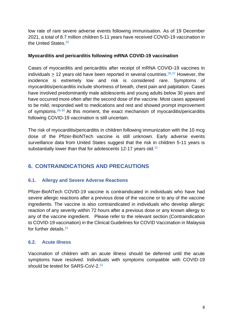low rate of rare severe adverse events following immunisation. As of 19 December 2021, a total of 8.7 million children 5-11 years have received COVID-19 vaccination in the United States.<sup>25</sup>

#### **Myocarditis and pericarditis following mRNA COVID-19 vaccination**

Cases of myocarditis and pericarditis after receipt of mRNA COVID-19 vaccines in individuals  $> 12$  years old have been reported in several countries.<sup>26,27</sup> However, the incidence is extremely low and risk is considered rare. Symptoms of myocarditis/pericarditis include shortness of breath, chest pain and palpitation. Cases have involved predominantly male adolescents and young adults below 30 years and have occurred more often after the second dose of the vaccine. Most cases appeared to be mild, responded well to medications and rest and showed prompt improvement of symptoms.  $28-30$  At this moment, the exact mechanism of myocarditis/pericarditis following COVID-19 vaccination is still uncertain.

The risk of myocarditis/pericarditis in children following immunization with the 10 mcg dose of the Pfizer-BioNTech vaccine is still unknown. Early adverse events surveillance data from United States suggest that the risk in children 5-11 years is substantially lower than that for adolescents 12-17 years old.<sup>25</sup>

# <span id="page-8-0"></span>**6. CONTRAINDICATIONS AND PRECAUTIONS**

#### <span id="page-8-1"></span>**6.1. Allergy and Severe Adverse Reactions**

Pfizer-BioNTech COVID-19 vaccine is contraindicated in individuals who have had severe allergic reactions after a previous dose of the vaccine or to any of the vaccine ingredients. The vaccine is also contraindicated in individuals who develop allergic reaction of any severity within 72 hours after a previous dose or any known allergy to any of the vaccine ingredient. Please refer to the relevant section (Contraindication to COVID-19 vaccination) in the Clinical Guidelines for COVID Vaccination in Malaysia for further details.<sup>31</sup>

#### <span id="page-8-2"></span>**6.2. Acute illness**

Vaccination of children with an acute illness should be deferred until the acute symptoms have resolved. Individuals with symptoms compatible with COVID-19 should be tested for SARS-CoV-2.<sup>31</sup>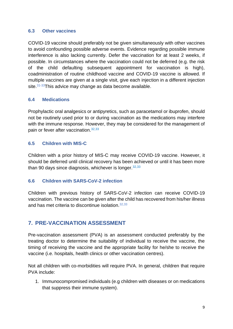#### <span id="page-9-0"></span>**6.3 Other vaccines**

COVID-19 vaccine should preferably not be given simultaneously with other vaccines to avoid confounding possible adverse events. Evidence regarding possible immune interference is also lacking currently. Defer the vaccination for at least 2 weeks, if possible. In circumstances where the vaccination could not be deferred (e.g. the risk of the child defaulting subsequent appointment for vaccination is high), coadministration of routine childhood vaccine and COVID-19 vaccine is allowed. If multiple vaccines are given at a single visit, give each injection in a different injection site.<sup>31-33</sup>This advice may change as data become available.

#### <span id="page-9-1"></span>**6.4 Medications**

Prophylactic oral analgesics or antipyretics, such as paracetamol or ibuprofen, should not be routinely used prior to or during vaccination as the medications may interfere with the immune response. However, they may be considered for the management of pain or fever after vaccination.<sup>32,33</sup>

#### <span id="page-9-2"></span>**6.5 Children with MIS-C**

Children with a prior history of MIS-C may receive COVID-19 vaccine. However, it should be deferred until clinical recovery has been achieved or until it has been more than 90 days since diagnosis, whichever is longer.  $32,33$ 

#### <span id="page-9-3"></span>**6.6 Children with SARS-CoV-2 infection**

Children with previous history of SARS-CoV-2 infection can receive COVID-19 vaccination. The vaccine can be given after the child has recovered from his/her illness and has met criteria to discontinue isolation.32,33

## <span id="page-9-4"></span>**7. PRE-VACCINATION ASSESSMENT**

Pre-vaccination assessment (PVA) is an assessment conducted preferably by the treating doctor to determine the suitability of individual to receive the vaccine, the timing of receiving the vaccine and the appropriate facility for he/she to receive the vaccine (i.e. hospitals, health clinics or other vaccination centres).

Not all children with co-morbidities will require PVA. In general, children that require PVA include:

1. Immunocompromised individuals (e.g children with diseases or on medications that suppress their immune system).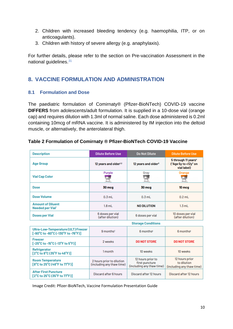- 2. Children with increased bleeding tendency (e.g. haemophilia, ITP, or on anticoagulants).
- 3. Children with history of severe allergy (e.g. anaphylaxis).

For further details, please refer to the section on Pre-vaccination Assessment in the national guidelines.<sup>31</sup>

## <span id="page-10-0"></span>**8. VACCINE FORMULATION AND ADMINISTRATION**

#### <span id="page-10-1"></span>**8.1 Formulation and Dose**

**Room Temperature** 

**After First Puncture** 

[8°C to 25°C (46°F to 77°F)]

[2°C to 25°C (35°F to 77°F)]

The paediatric formulation of Comirnaty® (Pfizer-BioNTech) COVID-19 vaccine **DIFFERS** from adolescents/adult formulation. It is supplied in a 10-dose vial (orange cap) and requires dilution with 1.3ml of normal saline. Each dose administered is 0.2ml containing 10mcg of mRNA vaccine. It is administered by IM injection into the deltoid muscle, or alternatively, the anterolateral thigh.

| <b>Description</b>                                                                            | <b>Dilute Before Use</b>             | <b>Do Not Dilute</b>            | <b>Dilute Before Use</b>                                               |
|-----------------------------------------------------------------------------------------------|--------------------------------------|---------------------------------|------------------------------------------------------------------------|
| <b>Age Group</b>                                                                              | 12 years and older <sup>1,2</sup>    | 12 years and older <sup>3</sup> | 5 through 11 years <sup>4</sup><br>("Age 5y to <12y" on<br>vial label) |
| <b>Vial Cap Color</b>                                                                         | Purple                               | Gray<br>П                       | Orange                                                                 |
| <b>Dose</b>                                                                                   | 30 mcg                               | 30 mcg                          | 10 <sub>mcg</sub>                                                      |
| Dose Volume                                                                                   | $0.3$ ml                             | $0.3$ ml                        | $0.2$ ml                                                               |
| <b>Amount of Diluent</b><br><b>Needed per Vial'</b>                                           | $1.8$ mL                             | <b>NO DILUTION</b>              | $1.3$ mL                                                               |
| <b>Doses per Vial</b>                                                                         | 6 doses per vial<br>(after dilution) | 6 doses per vial                | 10 doses per vial<br>(after dilution)                                  |
|                                                                                               |                                      | <b>Storage Conditions</b>       |                                                                        |
| Ultra-Low-Temperature (ULT) Freezer<br>[-90°C to -60°C (-130°F to -76°F)]                     | 9 monthst                            | 6 months <sup>#</sup>           | 6 months <sup>#</sup>                                                  |
| <b>Freezer</b><br>$[-25^{\circ}$ C to -15 $^{\circ}$ C (-13 $^{\circ}$ F to 5 $^{\circ}$ F)]  | 2 weeks                              | <b>DO NOT STORE</b>             | <b>DO NOT STORE</b>                                                    |
| <b>Refrigerator</b><br>$[2^{\circ}$ C to 8 $^{\circ}$ C (35 $^{\circ}$ F to 46 $^{\circ}$ F)] | 1 month                              | 10 weeks                        | 10 weeks                                                               |

#### <span id="page-10-2"></span>**Table 2 Formulation of Comirnaty ® Pfizer-BioNTech COVID-19 Vaccine**

Image Credit: Pfizer-BioNTech, Vaccine Formulation Presentation Guide

2 hours prior to dilution

(including any thaw time)

Discard after 6 hours

12 hours prior

to dilution

(including any thaw time)

Discard after 12 hours

12 hours prior to

first puncture

Discard after 12 hours

(including any thaw time)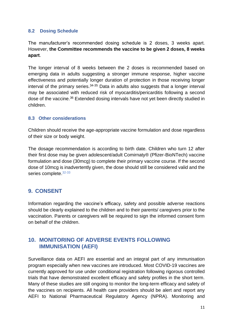#### <span id="page-11-0"></span>**8.2 Dosing Schedule**

The manufacturer's recommended dosing schedule is 2 doses, 3 weeks apart. However, **the Committee recommends the vaccine to be given 2 doses, 8 weeks apart**.

The longer interval of 8 weeks between the 2 doses is recommended based on emerging data in adults suggesting a stronger immune response, higher vaccine effectiveness and potentially longer duration of protection in those receiving longer interval of the primary series. $34-35$  Data in adults also suggests that a longer interval may be associated with reduced risk of myocarditis/pericarditis following a second dose of the vaccine.<sup>36</sup> Extended dosing intervals have not yet been directly studied in children.

#### <span id="page-11-1"></span>**8.3 Other considerations**

Children should receive the age-appropriate vaccine formulation and dose regardless of their size or body weight.

The dosage recommendation is according to birth date. Children who turn 12 after their first dose may be given adolescent/adult Comirnaty® (Pfizer-BioNTech) vaccine formulation and dose (30mcg) to complete their primary vaccine course. If the second dose of 10mcg is inadvertently given, the dose should still be considered valid and the series complete.<sup>32-33</sup>

## <span id="page-11-2"></span>**9. CONSENT**

Information regarding the vaccine's efficacy, safety and possible adverse reactions should be clearly explained to the children and to their parents/ caregivers prior to the vaccination. Parents or caregivers will be required to sign the informed consent form on behalf of the children.

## <span id="page-11-3"></span>**10. MONITORING OF ADVERSE EVENTS FOLLOWING IMMUNISATION (AEFI)**

Surveillance data on AEFI are essential and an integral part of any immunisation program especially when new vaccines are introduced. Most COVID-19 vaccines are currently approved for use under conditional registration following rigorous controlled trials that have demonstrated excellent efficacy and safety profiles in the short term. Many of these studies are still ongoing to monitor the long-term efficacy and safety of the vaccines on recipients. All health care providers should be alert and report any AEFI to National Pharmaceutical Regulatory Agency (NPRA). Monitoring and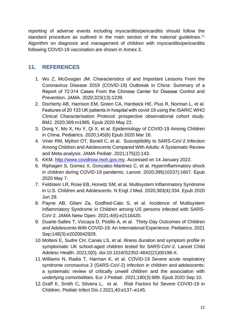reporting of adverse events including myocarditis/pericarditis should follow the standard procedure as outlined in the main section of the national quidelines. $31$ Algorithm on diagnosis and management of children with myocarditis/pericarditis following COVID-19 vaccination are shown in Annex 3.

## <span id="page-12-0"></span>**11. REFERENCES**

- 1. Wu Z, McGoogan JM. Characteristics of and Important Lessons From the Coronavirus Disease 2019 (COVID-19) Outbreak in China: Summary of a Report of 72 314 Cases From the Chinese Center for Disease Control and Prevention. JAMA. 2020;323(13):1239.
- 2. Docherty AB, Harrison EM, Green CA, Hardwick HE, Pius R, Norman L, et al. Features of 20 133 UK patients in hospital with covid-19 using the ISARIC WHO Clinical Characterisation Protocol: prospective observational cohort study. BMJ. 2020;369:m1985. Epub 2020 May 22.
- 3. Dong Y, Mo X, Hu Y, Qi X, et al. Epidemiology of COVID-19 Among Children in China. Pediatrics. 2020;145(6) Epub 2020 Mar 16.
- 4. Viner RM, Mytton OT, Bonell C, et al. Susceptibility to SARS-CoV-2 Infection Among Children and Adolescents Compared With Adults: A Systematic Review and Meta-analysis. JAMA Pediatr. 2021;175(2):143.
- 5. KKM. [http://www.covidnow.moh.gov.my.](http://www.covidnow.moh.gov.my/) Accessed on 14 January 2022.
- 6. Riphagen S, Gomez X, Gonzalez-Martinez C, et al. Hyperinflammatory shock in children during COVID-19 pandemic. Lancet. 2020;395(10237):1607. Epub 2020 May 7.
- 7. Feldstein LR, Rose EB, Horwitz SM, et al. Multisystem Inflammatory Syndrome in U.S. Children and Adolescents. N Engl J Med. 2020;383(4):334. Epub 2020 Jun 29.
- 8. Payne AB, Gilani Za, Godfred-Cato S, et al. Incidence of Multisystem Inflammatory Syndrome in Children among US persons infected with SARS-CoV-2. JAMA Netw Open. 2021;4(6):e2116420.
- 9. Duarte-Salles T, Vizcaya D, Pistillo A, et al. Thirty-Day Outcomes of Children and Adolescents With COVID-19: An International Experience. Pediatrics. 2021 Sep;148(3):e2020042929.
- 10.Molteni E, Sudre CH, Canas LS, et al. Illness duration and symptom profile in symptomatic UK school-aged children tested for SARS-CoV-2. Lancet Child Adolesc Health. 2021;0(0). doi:10.1016/S2352-4642(21)00198-X.
- 11.Williams N, Radia T, Harman K, et al. COVID-19 Severe acute respiratory syndrome coronavirus 2 (SARS-CoV-2) infection in children and adolescents: a systematic review of critically unwell children and the association with underlying comorbidities. Eur J Pediatr. 2021;180(3):689. Epub 2020 Sep 10.
- 12.Graff K, Smith C, Silviera L, et al. Risk Factors for Severe COVID-19 in Children. Pediatr Infect Dis J 2021;40:e137–e145.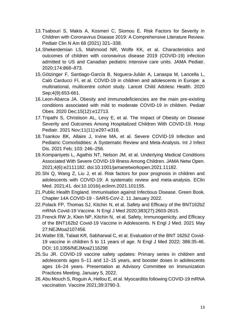- 13.Tsabouri S, Makis A, Kosmeri C, Siomou E. Risk Factors for Severity in Children with Coronavirus Disease 2019: A Comprehensive Literature Review. Pediatr Clin N Am 68 (2021) 321–338.
- 14.Shekerdemian LS, Mahmood NR, Wolfe KK, et al. Characteristics and outcomes of children with coronavirus disease 2019 (COVID-19) infection admitted to US and Canadian pediatric intensive care units. JAMA Pediatr. 2020;174:868–873.
- 15.Götzinger F, Santiago-García B, Noguera-Julián A, Lanaspa M, Lancella L, Calò Carducci FI, et al. COVID-19 in children and adolescents in Europe: a multinational, multicentre cohort study. Lancet Child Adolesc Health. 2020 Sep;4(9):653-661.
- 16.Leon-Abarca JA. Obesity and immunodeficiencies are the main pre-existing conditions associated with mild to moderate COVID-19 in children. Pediatr Obes. 2020 Dec;15(12):e12713.
- 17.Tripathi S, Christison AL, Levy E, et al. The Impact of Obesity on Disease Severity and Outcomes Among Hospitalized Children With COVID-19. Hosp Pediatr. 2021 Nov;11(11):e297-e316.
- 18.Tsankov BK, Allaire J, Irvine MA, et al. Severe COVID-19 Infection and Pediatric Comorbidities: A Systematic Review and Meta-Analysis. Int J Infect Dis. 2021 Feb; 103: 246–256.
- 19.Kompaniyets L, Agathis NT, Nelson JM, et al. Underlying Medical Conditions Associated With Severe COVID-19 Illness Among Children. JAMA Netw Open. 2021;4(6):e2111182. doi:10.1001/jamanetworkopen.2021.11182.
- 20.Shi Q, Wang Z, Liu J, et al. Risk factors for poor prognosis in children and adolescents with COVID-19: A systematic review and meta-analysis. EClin Med. 2021;41. doi:10.1016/j.eclinm.2021.101155.
- 21.Public Health England. Immunisation against Infectious Disease. Green Book. Chapter 14A COVID-19 - SARS-CoV-2. 11 January 2022.
- 22.Polack FP, Thomas SJ, Kitchin N, et al. Safety and Efficacy of the BNT162b2 mRNA Covid-19 Vaccine. N Engl J Med 2020;383(27):2603-2615.
- 23.Frenck RW Jr, Klein NP, Kitchin N, et al. Safety, Immunogenicity, and Efficacy of the BNT162b2 Covid-19 Vaccine in Adolescents. N Engl J Med. 2021 May 27:NEJMoa2107456.
- 24.Walter EB, Talaat KR, Sabharwal C, et al. Evaluation of the BNT 162b2 Covid-19 vaccine in children 5 to 11 years of age. N Engl J Med 2022; 386:35-46. DOI: 10.1056/NEJMoa2116298
- 25.Su JR. COVID-19 vaccine safety updates: Primary series in children and adolescents ages 5–11 and 12–15 years, and booster doses in adolescents ages 16–24 years. Presentation at Advisory Committee on Immunization Practices Meeting. January 5, 2022.
- 26.Abu Mouch S, Roguin A, Hellou E, et al. Myocarditis following COVID-19 mRNA vaccination. Vaccine 2021;39:3790-3.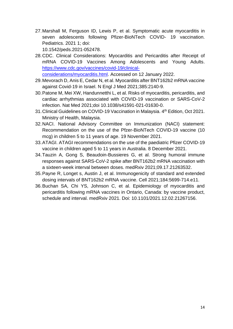27.Marshall M, Ferguson ID, Lewis P, et al. Symptomatic acute myocarditis in seven adolescents following Pfizer-BioNTech COVID- 19 vaccination. Pediatrics. 2021 1; doi:

10.1542/peds.2021-052478.

28.CDC. Clinical Considerations: Myocarditis and Pericarditis after Receipt of mRNA COVID-19 Vaccines Among Adolescents and Young Adults. [https://www.cdc.gov/vaccines/covid-19/clinical-](https://www.cdc.gov/vaccines/covid-19/clinical-considerations/myocarditis.html)

[considerations/myocarditis.html.](https://www.cdc.gov/vaccines/covid-19/clinical-considerations/myocarditis.html) Accessed on 12 January 2022.

- 29.Mevorach D, Anis E, Cedar N, et al. Myocarditis after BNT162b2 mRNA vaccine against Covid-19 in Israel. N Engl J Med 2021;385:2140-9.
- 30.Patone M, Mei XW, Handunnetthi L, et al. Risks of myocarditis, pericarditis, and cardiac arrhythmias associated with COVID-19 vaccination or SARS-CoV-2 infection. Nat Med 2021;doi 10.1038/s41591-021-01630-0.
- 31. Clinical Guidelines on COVID-19 Vaccination in Malaysia. 4<sup>th</sup> Edition, Oct 2021. Ministry of Health, Malaysia.
- 32.NACI. National Advisory Committee on Immunization (NACI) statement: Recommendation on the use of the Pfzer-BioNTech COVID-19 vaccine (10 mcg) in children 5 to 11 years of age. 19 November 2021.
- 33.ATAGI. ATAGI recommendations on the use of the paediatric Pfizer COVID-19 vaccine in children aged 5 to 11 years in Australia. 8 December 2021.
- 34.Tauzin A, Gong S, Beaudoin-Bussieres G, et al. Strong humoral immune responses against SARS-CoV-2 spike after BNT162b2 mRNA vaccination with a sixteen-week interval between doses. medRxiv 2021;09.17.21263532.
- 35.Payne R, Longet s, Austin J, et al. Immunogenicity of standard and extended dosing intervals of BNT162b2 mRNA vaccine. Cell 2021;184:5699-714.e11.
- 36.Buchan SA, Chi YS, Johnson C, et al. Epidemiology of myocarditis and pericarditis following mRNA vaccines in Ontario, Canada: by vaccine product, schedule and interval. medRxiv 2021. Doi: 10.1101/2021.12.02.21267156.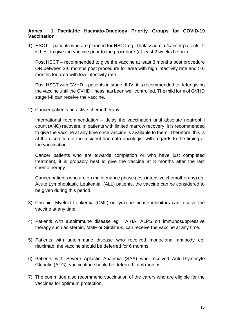#### <span id="page-15-0"></span>**Annex 1 Paediatric Haemato-Oncology Priority Groups for COVID-19 Vaccination**

1) HSCT – patients who are planned for HSCT eg: Thalassaemia /cancer patients. It is best to give the vaccine prior to the procedure (at least 2 weeks before).

Post HSCT – recommended to give the vaccine at least 3 months post procedure OR between 3-6 months post procedure for area with high infectivity rate and > 6 months for area with low infectivity rate.

Post HSCT with GVHD – patients in stage III-IV, it is recommended to defer giving the vaccine until the GVHD illness has been well controlled. The mild form of GVHD stage I-II can receive the vaccine.

2) Cancer patients on active chemotherapy

International recommendation – delay the vaccination until absolute neutrophil count (ANC) recovers. In patients with limited marrow recovery, it is recommended to give the vaccine at any time once vaccine is available to them. Therefore, this is at the discretion of the resident haemato-oncologist with regards to the timing of the vaccination

Cancer patients who are towards completion or who have just completed treatment, it is probably best to give the vaccine at 3 months after the last chemotherapy.

Cancer patients who are on maintenance phase (less intensive chemotherapy) eg: Acute Lymphoblastic Leukemia (ALL) patients, the vaccine can be considered to be given during this period.

- 3) Chronic Myeloid Leukemia (CML) on tyroxine kinase inhibitors can receive the vaccine at any time.
- 4) Patients with autoimmune disease eg : AIHA, ALPS on immunosuppressive therapy such as steroid, MMF or Sirolimus, can receive the vaccine at any time.
- 5) Patients with autoimmune disease who received monoclonal antibody eg: rituximab, the vaccine should be deferred for 6 months.
- 6) Patients with Severe Aplastic Anaemia (SAA) who received Anti-Thymocyte Globulin (ATG), vaccination should be deferred for 6 months.
- 7) The committee also recommend vaccination of the carers who are eligible for the vaccines for optimum protection.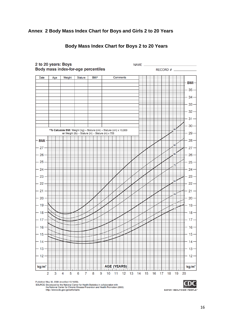#### <span id="page-16-0"></span>**Annex 2 Body Mass Index Chart for Boys and Girls 2 to 20 Years**



#### **Body Mass Index Chart for Boys 2 to 20 Years**

Published May 30, 2000 (modified 10/16/00).

SOURCE: Developed by the National Center for Health Statistics in collaboration with<br>the National Center for Chronic Disease Prevention and Health Promotion (2000).

http://www.cdc.gov/growthcharts

SAFER · HEALTHIER · PEOPLE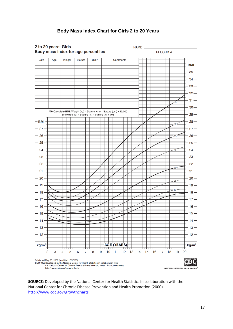#### **Body Mass Index Chart for Girls 2 to 20 Years**



**SOURCE**: Developed by the National Center for Health Statistics in collaboration with the National Center for Chronic Disease Prevention and Health Promotion (2000). <http://www.cdc.gov/growthcharts>